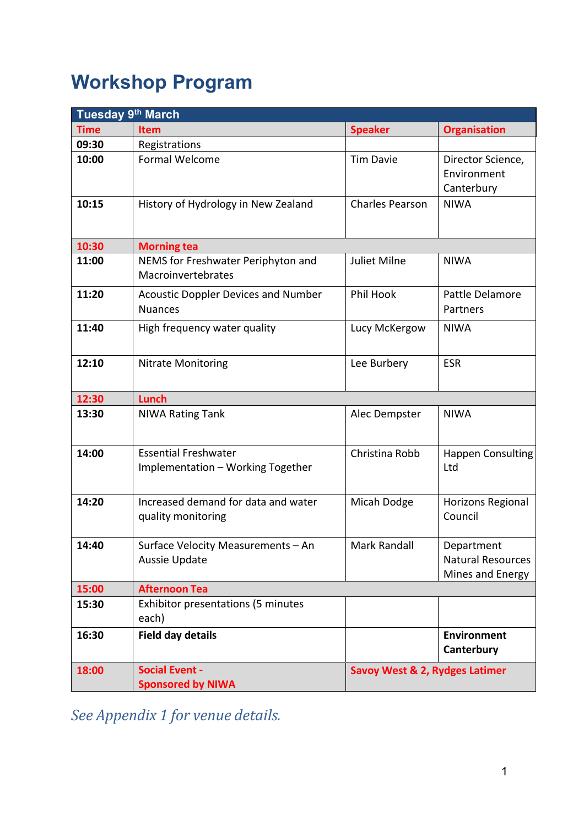# **Workshop Program**

| Tuesday 9th March |                                                                  |                                |                                                            |  |
|-------------------|------------------------------------------------------------------|--------------------------------|------------------------------------------------------------|--|
| <b>Time</b>       | <b>Item</b>                                                      | <b>Speaker</b>                 | <b>Organisation</b>                                        |  |
| 09:30             | Registrations                                                    |                                |                                                            |  |
| 10:00             | Formal Welcome                                                   | <b>Tim Davie</b>               | Director Science,<br>Environment<br>Canterbury             |  |
| 10:15             | History of Hydrology in New Zealand                              | <b>Charles Pearson</b>         | <b>NIWA</b>                                                |  |
| 10:30             | <b>Morning tea</b>                                               |                                |                                                            |  |
| 11:00             | NEMS for Freshwater Periphyton and<br>Macroinvertebrates         | <b>Juliet Milne</b>            | <b>NIWA</b>                                                |  |
| 11:20             | <b>Acoustic Doppler Devices and Number</b><br><b>Nuances</b>     | Phil Hook                      | Pattle Delamore<br>Partners                                |  |
| 11:40             | High frequency water quality                                     | Lucy McKergow                  | <b>NIWA</b>                                                |  |
| 12:10             | <b>Nitrate Monitoring</b>                                        | Lee Burbery                    | <b>ESR</b>                                                 |  |
| 12:30             | <b>Lunch</b>                                                     |                                |                                                            |  |
| 13:30             | <b>NIWA Rating Tank</b>                                          | Alec Dempster                  | <b>NIWA</b>                                                |  |
| 14:00             | <b>Essential Freshwater</b><br>Implementation - Working Together | Christina Robb                 | <b>Happen Consulting</b><br>Ltd                            |  |
| 14:20             | Increased demand for data and water<br>quality monitoring        | Micah Dodge                    | Horizons Regional<br>Council                               |  |
| 14:40             | Surface Velocity Measurements - An<br>Aussie Update              | Mark Randall                   | Department<br><b>Natural Resources</b><br>Mines and Energy |  |
| 15:00             | <b>Afternoon Tea</b>                                             |                                |                                                            |  |
| 15:30             | <b>Exhibitor presentations (5 minutes</b><br>each)               |                                |                                                            |  |
| 16:30             | <b>Field day details</b>                                         |                                | <b>Environment</b><br>Canterbury                           |  |
| 18:00             | <b>Social Event -</b><br><b>Sponsored by NIWA</b>                | Savoy West & 2, Rydges Latimer |                                                            |  |

*See Appendix 1 for venue details.*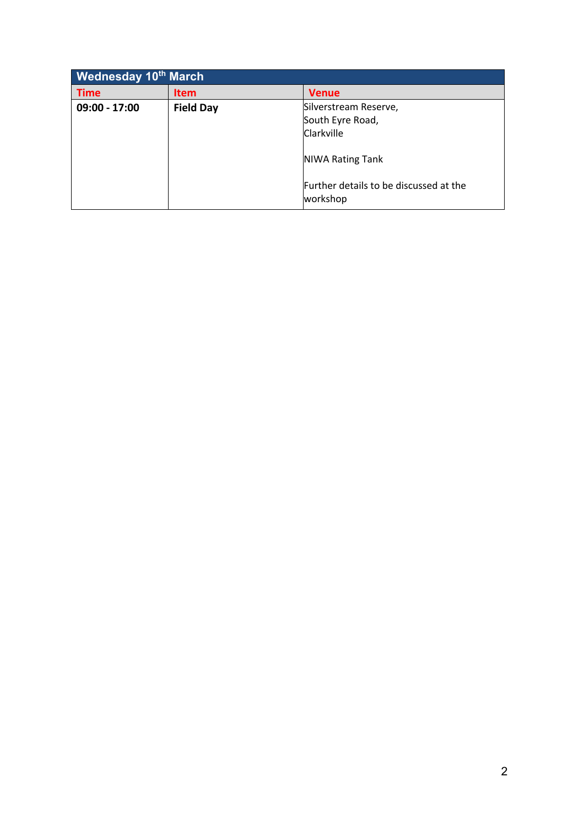| <b>Wednesday 10th March</b> |                  |                                                    |  |  |
|-----------------------------|------------------|----------------------------------------------------|--|--|
| <b>Time</b>                 | <b>Item</b>      | <b>Venue</b>                                       |  |  |
| 09:00 - 17:00               | <b>Field Day</b> | Silverstream Reserve,                              |  |  |
|                             |                  | South Eyre Road,                                   |  |  |
|                             |                  | Clarkville                                         |  |  |
|                             |                  | <b>NIWA Rating Tank</b>                            |  |  |
|                             |                  | Further details to be discussed at the<br>workshop |  |  |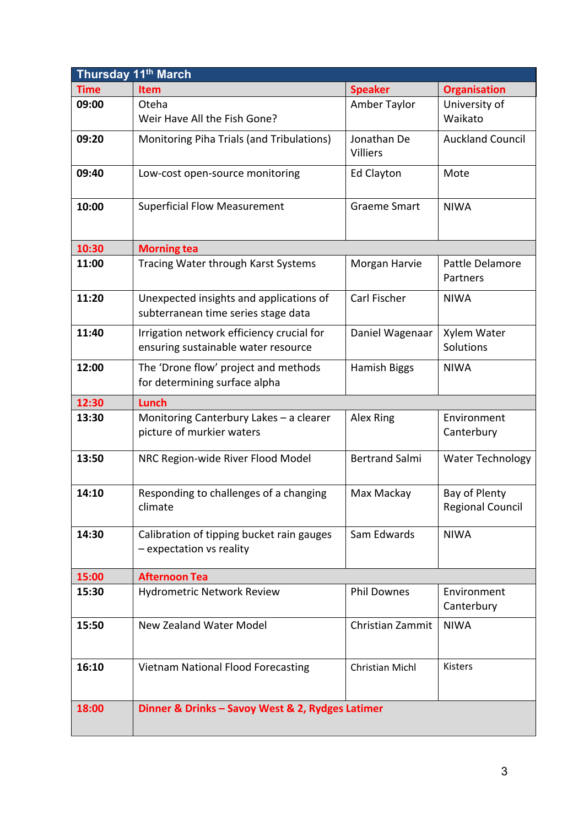| Thursday 11 <sup>th</sup> March |                                                                                  |                                |                                          |  |  |
|---------------------------------|----------------------------------------------------------------------------------|--------------------------------|------------------------------------------|--|--|
| <b>Time</b>                     | Item                                                                             | <b>Speaker</b>                 | <b>Organisation</b>                      |  |  |
| 09:00                           | Oteha<br>Weir Have All the Fish Gone?                                            | Amber Taylor                   | University of<br>Waikato                 |  |  |
| 09:20                           | Monitoring Piha Trials (and Tribulations)                                        | Jonathan De<br><b>Villiers</b> | <b>Auckland Council</b>                  |  |  |
| 09:40                           | Low-cost open-source monitoring                                                  | <b>Ed Clayton</b>              | Mote                                     |  |  |
| 10:00                           | <b>Superficial Flow Measurement</b>                                              | <b>Graeme Smart</b>            | <b>NIWA</b>                              |  |  |
| 10:30                           | <b>Morning tea</b>                                                               |                                |                                          |  |  |
| 11:00                           | Tracing Water through Karst Systems                                              | Morgan Harvie                  | Pattle Delamore<br>Partners              |  |  |
| 11:20                           | Unexpected insights and applications of<br>subterranean time series stage data   | Carl Fischer                   | <b>NIWA</b>                              |  |  |
| 11:40                           | Irrigation network efficiency crucial for<br>ensuring sustainable water resource | Daniel Wagenaar                | Xylem Water<br>Solutions                 |  |  |
| 12:00                           | The 'Drone flow' project and methods<br>for determining surface alpha            | Hamish Biggs                   | <b>NIWA</b>                              |  |  |
| 12:30                           | <b>Lunch</b>                                                                     |                                |                                          |  |  |
| 13:30                           | Monitoring Canterbury Lakes - a clearer<br>picture of murkier waters             | Alex Ring                      | Environment<br>Canterbury                |  |  |
| 13:50                           | NRC Region-wide River Flood Model                                                | <b>Bertrand Salmi</b>          | <b>Water Technology</b>                  |  |  |
| 14:10                           | Responding to challenges of a changing<br>climate                                | Max Mackay                     | Bay of Plenty<br><b>Regional Council</b> |  |  |
| 14:30                           | Calibration of tipping bucket rain gauges<br>- expectation vs reality            | Sam Edwards                    | <b>NIWA</b>                              |  |  |
| 15:00                           | <b>Afternoon Tea</b>                                                             |                                |                                          |  |  |
| 15:30                           | <b>Hydrometric Network Review</b>                                                | <b>Phil Downes</b>             | Environment<br>Canterbury                |  |  |
| 15:50                           | <b>New Zealand Water Model</b>                                                   | Christian Zammit               | <b>NIWA</b>                              |  |  |
| 16:10                           | <b>Vietnam National Flood Forecasting</b>                                        | Christian Michl                | <b>Kisters</b>                           |  |  |
| 18:00                           | Dinner & Drinks - Savoy West & 2, Rydges Latimer                                 |                                |                                          |  |  |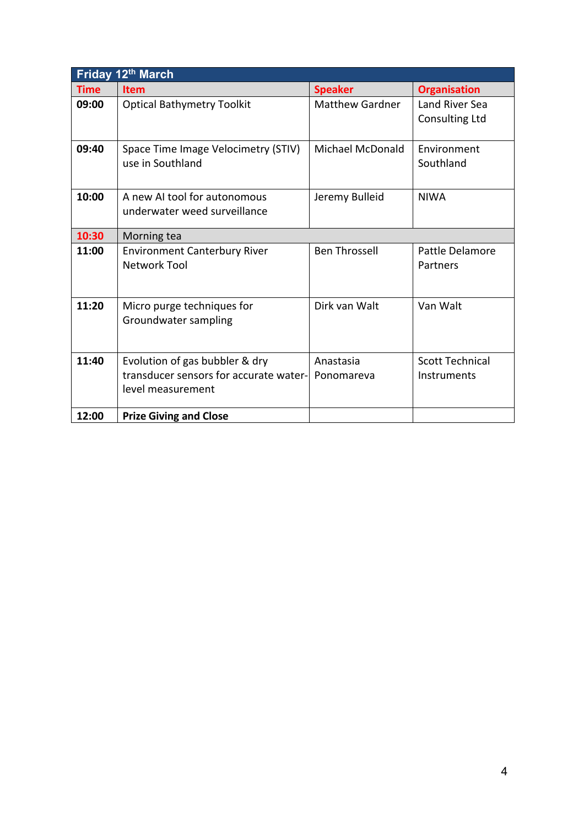| Friday 12th March |                                                                                               |                         |                                         |  |  |
|-------------------|-----------------------------------------------------------------------------------------------|-------------------------|-----------------------------------------|--|--|
| <b>Time</b>       | <b>Item</b>                                                                                   | <b>Speaker</b>          | <b>Organisation</b>                     |  |  |
| 09:00             | <b>Optical Bathymetry Toolkit</b>                                                             | <b>Matthew Gardner</b>  | Land River Sea<br><b>Consulting Ltd</b> |  |  |
| 09:40             | Space Time Image Velocimetry (STIV)<br>use in Southland                                       | Michael McDonald        | Environment<br>Southland                |  |  |
| 10:00             | A new AI tool for autonomous<br>underwater weed surveillance                                  | Jeremy Bulleid          | <b>NIWA</b>                             |  |  |
| 10:30             | Morning tea                                                                                   |                         |                                         |  |  |
| 11:00             | <b>Environment Canterbury River</b><br><b>Network Tool</b>                                    | <b>Ben Throssell</b>    | Pattle Delamore<br>Partners             |  |  |
| 11:20             | Micro purge techniques for<br>Groundwater sampling                                            | Dirk van Walt           | Van Walt                                |  |  |
| 11:40             | Evolution of gas bubbler & dry<br>transducer sensors for accurate water-<br>level measurement | Anastasia<br>Ponomareva | <b>Scott Technical</b><br>Instruments   |  |  |
| 12:00             | <b>Prize Giving and Close</b>                                                                 |                         |                                         |  |  |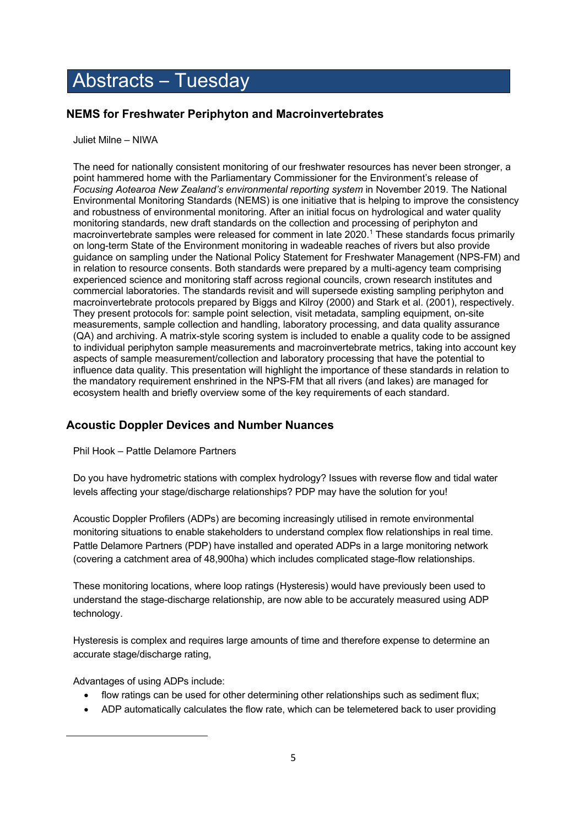## Abstracts – Tuesday

## **NEMS for Freshwater Periphyton and Macroinvertebrates**

Juliet Milne – NIWA

The need for nationally consistent monitoring of our freshwater resources has never been stronger, a point hammered home with the Parliamentary Commissioner for the Environment's release of *Focusing Aotearoa New Zealand's environmental reporting system* in November 2019. The National Environmental Monitoring Standards (NEMS) is one initiative that is helping to improve the consistency and robustness of environmental monitoring. After an initial focus on hydrological and water quality monitoring standards, new draft standards on the collection and processing of periphyton and macroinvertebrate samples were released for comment in late 2020.<sup>1</sup> These standards focus primarily on long-term State of the Environment monitoring in wadeable reaches of rivers but also provide guidance on sampling under the National Policy Statement for Freshwater Management (NPS-FM) and in relation to resource consents. Both standards were prepared by a multi-agency team comprising experienced science and monitoring staff across regional councils, crown research institutes and commercial laboratories. The standards revisit and will supersede existing sampling periphyton and macroinvertebrate protocols prepared by Biggs and Kilroy (2000) and Stark et al. (2001), respectively. They present protocols for: sample point selection, visit metadata, sampling equipment, on-site measurements, sample collection and handling, laboratory processing, and data quality assurance (QA) and archiving. A matrix-style scoring system is included to enable a quality code to be assigned to individual periphyton sample measurements and macroinvertebrate metrics, taking into account key aspects of sample measurement/collection and laboratory processing that have the potential to influence data quality. This presentation will highlight the importance of these standards in relation to the mandatory requirement enshrined in the NPS-FM that all rivers (and lakes) are managed for ecosystem health and briefly overview some of the key requirements of each standard.

## **Acoustic Doppler Devices and Number Nuances**

Phil Hook – Pattle Delamore Partners

Do you have hydrometric stations with complex hydrology? Issues with reverse flow and tidal water levels affecting your stage/discharge relationships? PDP may have the solution for you!

Acoustic Doppler Profilers (ADPs) are becoming increasingly utilised in remote environmental monitoring situations to enable stakeholders to understand complex flow relationships in real time. Pattle Delamore Partners (PDP) have installed and operated ADPs in a large monitoring network (covering a catchment area of 48,900ha) which includes complicated stage-flow relationships.

These monitoring locations, where loop ratings (Hysteresis) would have previously been used to understand the stage-discharge relationship, are now able to be accurately measured using ADP technology.

Hysteresis is complex and requires large amounts of time and therefore expense to determine an accurate stage/discharge rating,

Advantages of using ADPs include:

- flow ratings can be used for other determining other relationships such as sediment flux;
- ADP automatically calculates the flow rate, which can be telemetered back to user providing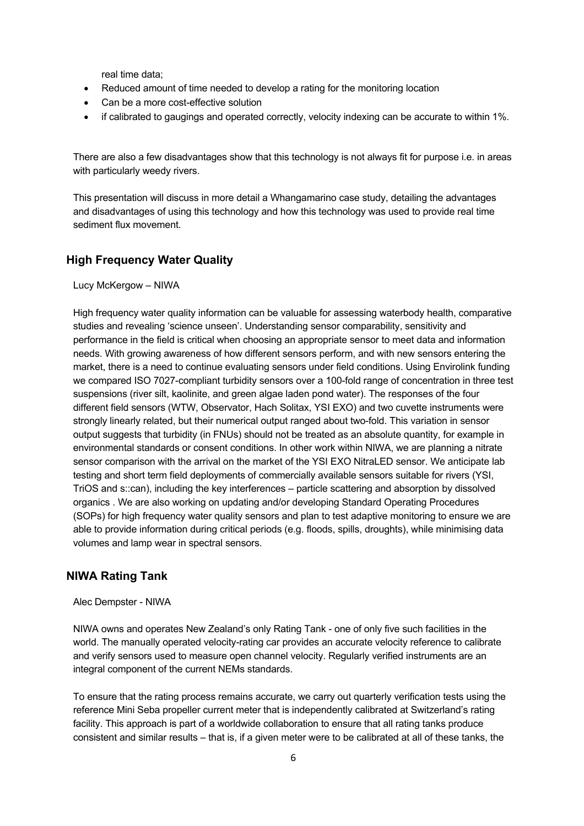real time data;

- Reduced amount of time needed to develop a rating for the monitoring location
- Can be a more cost-effective solution
- if calibrated to gaugings and operated correctly, velocity indexing can be accurate to within 1%.

There are also a few disadvantages show that this technology is not always fit for purpose i.e. in areas with particularly weedy rivers.

This presentation will discuss in more detail a Whangamarino case study, detailing the advantages and disadvantages of using this technology and how this technology was used to provide real time sediment flux movement.

#### **High Frequency Water Quality**

Lucy McKergow – NIWA

High frequency water quality information can be valuable for assessing waterbody health, comparative studies and revealing 'science unseen'. Understanding sensor comparability, sensitivity and performance in the field is critical when choosing an appropriate sensor to meet data and information needs. With growing awareness of how different sensors perform, and with new sensors entering the market, there is a need to continue evaluating sensors under field conditions. Using Envirolink funding we compared ISO 7027-compliant turbidity sensors over a 100-fold range of concentration in three test suspensions (river silt, kaolinite, and green algae laden pond water). The responses of the four different field sensors (WTW, Observator, Hach Solitax, YSI EXO) and two cuvette instruments were strongly linearly related, but their numerical output ranged about two-fold. This variation in sensor output suggests that turbidity (in FNUs) should not be treated as an absolute quantity, for example in environmental standards or consent conditions. In other work within NIWA, we are planning a nitrate sensor comparison with the arrival on the market of the YSI EXO NitraLED sensor. We anticipate lab testing and short term field deployments of commercially available sensors suitable for rivers (YSI, TriOS and s::can), including the key interferences – particle scattering and absorption by dissolved organics . We are also working on updating and/or developing Standard Operating Procedures (SOPs) for high frequency water quality sensors and plan to test adaptive monitoring to ensure we are able to provide information during critical periods (e.g. floods, spills, droughts), while minimising data volumes and lamp wear in spectral sensors.

#### **NIWA Rating Tank**

Alec Dempster - NIWA

NIWA owns and operates New Zealand's only Rating Tank - one of only five such facilities in the world. The manually operated velocity-rating car provides an accurate velocity reference to calibrate and verify sensors used to measure open channel velocity. Regularly verified instruments are an integral component of the current NEMs standards.

To ensure that the rating process remains accurate, we carry out quarterly verification tests using the reference Mini Seba propeller current meter that is independently calibrated at Switzerland's rating facility. This approach is part of a worldwide collaboration to ensure that all rating tanks produce consistent and similar results – that is, if a given meter were to be calibrated at all of these tanks, the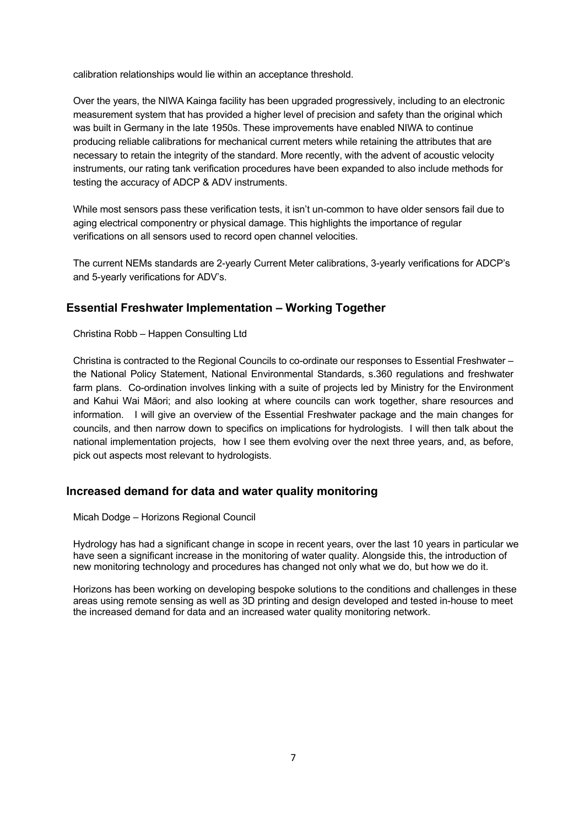calibration relationships would lie within an acceptance threshold.

Over the years, the NIWA Kainga facility has been upgraded progressively, including to an electronic measurement system that has provided a higher level of precision and safety than the original which was built in Germany in the late 1950s. These improvements have enabled NIWA to continue producing reliable calibrations for mechanical current meters while retaining the attributes that are necessary to retain the integrity of the standard. More recently, with the advent of acoustic velocity instruments, our rating tank verification procedures have been expanded to also include methods for testing the accuracy of ADCP & ADV instruments.

While most sensors pass these verification tests, it isn't un-common to have older sensors fail due to aging electrical componentry or physical damage. This highlights the importance of regular verifications on all sensors used to record open channel velocities.

The current NEMs standards are 2-yearly Current Meter calibrations, 3-yearly verifications for ADCP's and 5-yearly verifications for ADV's.

## **Essential Freshwater Implementation – Working Together**

Christina Robb – Happen Consulting Ltd

Christina is contracted to the Regional Councils to co-ordinate our responses to Essential Freshwater – the National Policy Statement, National Environmental Standards, s.360 regulations and freshwater farm plans. Co-ordination involves linking with a suite of projects led by Ministry for the Environment and Kahui Wai Māori; and also looking at where councils can work together, share resources and information. I will give an overview of the Essential Freshwater package and the main changes for councils, and then narrow down to specifics on implications for hydrologists. I will then talk about the national implementation projects, how I see them evolving over the next three years, and, as before, pick out aspects most relevant to hydrologists.

#### **Increased demand for data and water quality monitoring**

Micah Dodge – Horizons Regional Council

Hydrology has had a significant change in scope in recent years, over the last 10 years in particular we have seen a significant increase in the monitoring of water quality. Alongside this, the introduction of new monitoring technology and procedures has changed not only what we do, but how we do it.

Horizons has been working on developing bespoke solutions to the conditions and challenges in these areas using remote sensing as well as 3D printing and design developed and tested in-house to meet the increased demand for data and an increased water quality monitoring network.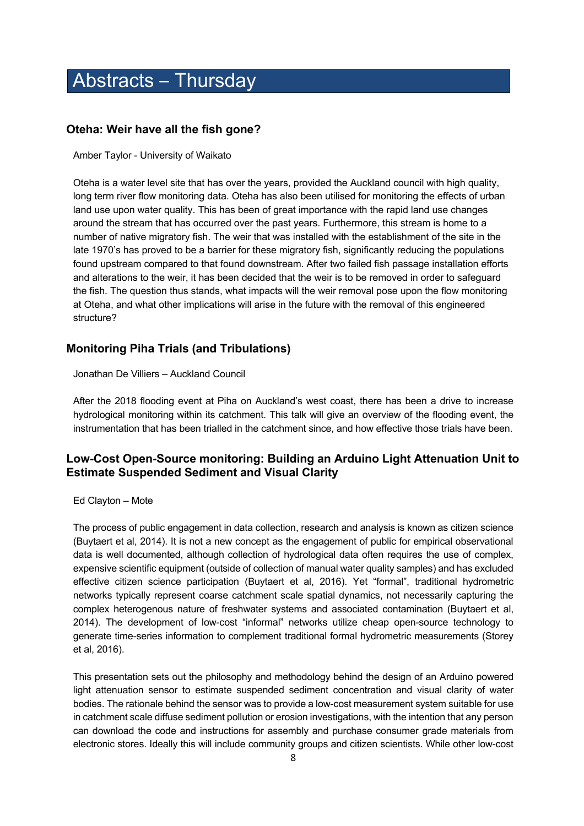## Abstracts – Thursday

#### **Oteha: Weir have all the fish gone?**

Amber Taylor - University of Waikato

Oteha is a water level site that has over the years, provided the Auckland council with high quality, long term river flow monitoring data. Oteha has also been utilised for monitoring the effects of urban land use upon water quality. This has been of great importance with the rapid land use changes around the stream that has occurred over the past years. Furthermore, this stream is home to a number of native migratory fish. The weir that was installed with the establishment of the site in the late 1970's has proved to be a barrier for these migratory fish, significantly reducing the populations found upstream compared to that found downstream. After two failed fish passage installation efforts and alterations to the weir, it has been decided that the weir is to be removed in order to safeguard the fish. The question thus stands, what impacts will the weir removal pose upon the flow monitoring at Oteha, and what other implications will arise in the future with the removal of this engineered structure?

## **Monitoring Piha Trials (and Tribulations)**

Jonathan De Villiers – Auckland Council

After the 2018 flooding event at Piha on Auckland's west coast, there has been a drive to increase hydrological monitoring within its catchment. This talk will give an overview of the flooding event, the instrumentation that has been trialled in the catchment since, and how effective those trials have been.

## **Low-Cost Open-Source monitoring: Building an Arduino Light Attenuation Unit to Estimate Suspended Sediment and Visual Clarity**

#### Ed Clayton – Mote

The process of public engagement in data collection, research and analysis is known as citizen science (Buytaert et al, 2014). It is not a new concept as the engagement of public for empirical observational data is well documented, although collection of hydrological data often requires the use of complex, expensive scientific equipment (outside of collection of manual water quality samples) and has excluded effective citizen science participation (Buytaert et al, 2016). Yet "formal", traditional hydrometric networks typically represent coarse catchment scale spatial dynamics, not necessarily capturing the complex heterogenous nature of freshwater systems and associated contamination (Buytaert et al, 2014). The development of low-cost "informal" networks utilize cheap open-source technology to generate time-series information to complement traditional formal hydrometric measurements (Storey et al, 2016).

This presentation sets out the philosophy and methodology behind the design of an Arduino powered light attenuation sensor to estimate suspended sediment concentration and visual clarity of water bodies. The rationale behind the sensor was to provide a low-cost measurement system suitable for use in catchment scale diffuse sediment pollution or erosion investigations, with the intention that any person can download the code and instructions for assembly and purchase consumer grade materials from electronic stores. Ideally this will include community groups and citizen scientists. While other low-cost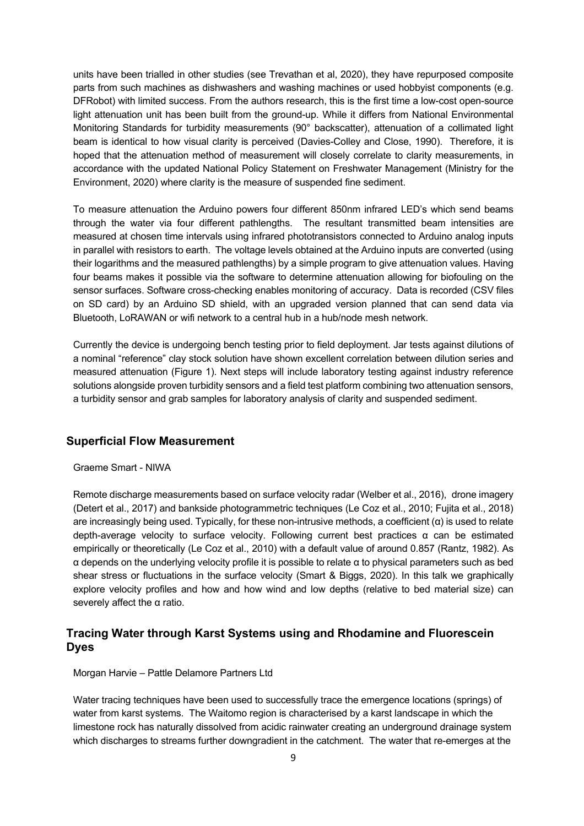units have been trialled in other studies (see Trevathan et al, 2020), they have repurposed composite parts from such machines as dishwashers and washing machines or used hobbyist components (e.g. DFRobot) with limited success. From the authors research, this is the first time a low-cost open-source light attenuation unit has been built from the ground-up. While it differs from National Environmental Monitoring Standards for turbidity measurements (90° backscatter), attenuation of a collimated light beam is identical to how visual clarity is perceived (Davies-Colley and Close, 1990). Therefore, it is hoped that the attenuation method of measurement will closely correlate to clarity measurements, in accordance with the updated National Policy Statement on Freshwater Management (Ministry for the Environment, 2020) where clarity is the measure of suspended fine sediment.

To measure attenuation the Arduino powers four different 850nm infrared LED's which send beams through the water via four different pathlengths. The resultant transmitted beam intensities are measured at chosen time intervals using infrared phototransistors connected to Arduino analog inputs in parallel with resistors to earth. The voltage levels obtained at the Arduino inputs are converted (using their logarithms and the measured pathlengths) by a simple program to give attenuation values. Having four beams makes it possible via the software to determine attenuation allowing for biofouling on the sensor surfaces. Software cross-checking enables monitoring of accuracy. Data is recorded (CSV files on SD card) by an Arduino SD shield, with an upgraded version planned that can send data via Bluetooth, LoRAWAN or wifi network to a central hub in a hub/node mesh network.

Currently the device is undergoing bench testing prior to field deployment. Jar tests against dilutions of a nominal "reference" clay stock solution have shown excellent correlation between dilution series and measured attenuation (Figure 1). Next steps will include laboratory testing against industry reference solutions alongside proven turbidity sensors and a field test platform combining two attenuation sensors, a turbidity sensor and grab samples for laboratory analysis of clarity and suspended sediment.

#### **Superficial Flow Measurement**

Graeme Smart - NIWA

Remote discharge measurements based on surface velocity radar (Welber et al., 2016), drone imagery (Detert et al., 2017) and bankside photogrammetric techniques (Le Coz et al., 2010; Fujita et al., 2018) are increasingly being used. Typically, for these non-intrusive methods, a coefficient  $(\alpha)$  is used to relate depth-average velocity to surface velocity. Following current best practices α can be estimated empirically or theoretically (Le Coz et al., 2010) with a default value of around 0.857 (Rantz, 1982). As α depends on the underlying velocity profile it is possible to relate α to physical parameters such as bed shear stress or fluctuations in the surface velocity (Smart & Biggs, 2020). In this talk we graphically explore velocity profiles and how and how wind and low depths (relative to bed material size) can severely affect the α ratio.

## **Tracing Water through Karst Systems using and Rhodamine and Fluorescein Dyes**

Morgan Harvie – Pattle Delamore Partners Ltd

Water tracing techniques have been used to successfully trace the emergence locations (springs) of water from karst systems. The Waitomo region is characterised by a karst landscape in which the limestone rock has naturally dissolved from acidic rainwater creating an underground drainage system which discharges to streams further downgradient in the catchment. The water that re-emerges at the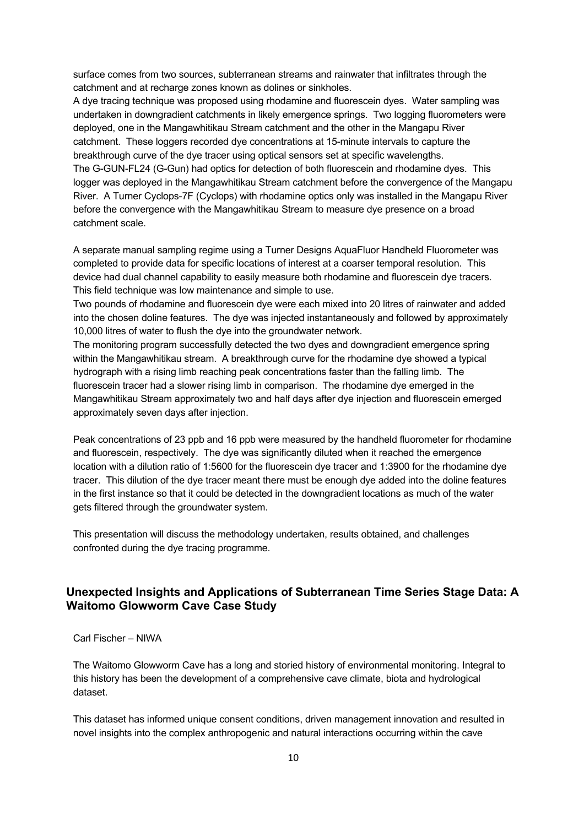surface comes from two sources, subterranean streams and rainwater that infiltrates through the catchment and at recharge zones known as dolines or sinkholes.

A dye tracing technique was proposed using rhodamine and fluorescein dyes. Water sampling was undertaken in downgradient catchments in likely emergence springs. Two logging fluorometers were deployed, one in the Mangawhitikau Stream catchment and the other in the Mangapu River catchment. These loggers recorded dye concentrations at 15-minute intervals to capture the breakthrough curve of the dye tracer using optical sensors set at specific wavelengths. The G-GUN-FL24 (G-Gun) had optics for detection of both fluorescein and rhodamine dyes. This logger was deployed in the Mangawhitikau Stream catchment before the convergence of the Mangapu River. A Turner Cyclops-7F (Cyclops) with rhodamine optics only was installed in the Mangapu River before the convergence with the Mangawhitikau Stream to measure dye presence on a broad catchment scale.

A separate manual sampling regime using a Turner Designs AquaFluor Handheld Fluorometer was completed to provide data for specific locations of interest at a coarser temporal resolution. This device had dual channel capability to easily measure both rhodamine and fluorescein dye tracers. This field technique was low maintenance and simple to use.

Two pounds of rhodamine and fluorescein dye were each mixed into 20 litres of rainwater and added into the chosen doline features. The dye was injected instantaneously and followed by approximately 10,000 litres of water to flush the dye into the groundwater network.

The monitoring program successfully detected the two dyes and downgradient emergence spring within the Mangawhitikau stream. A breakthrough curve for the rhodamine dye showed a typical hydrograph with a rising limb reaching peak concentrations faster than the falling limb. The fluorescein tracer had a slower rising limb in comparison. The rhodamine dye emerged in the Mangawhitikau Stream approximately two and half days after dye injection and fluorescein emerged approximately seven days after injection.

Peak concentrations of 23 ppb and 16 ppb were measured by the handheld fluorometer for rhodamine and fluorescein, respectively. The dye was significantly diluted when it reached the emergence location with a dilution ratio of 1:5600 for the fluorescein dye tracer and 1:3900 for the rhodamine dye tracer. This dilution of the dye tracer meant there must be enough dye added into the doline features in the first instance so that it could be detected in the downgradient locations as much of the water gets filtered through the groundwater system.

This presentation will discuss the methodology undertaken, results obtained, and challenges confronted during the dye tracing programme.

## **Unexpected Insights and Applications of Subterranean Time Series Stage Data: A Waitomo Glowworm Cave Case Study**

#### Carl Fischer – NIWA

The Waitomo Glowworm Cave has a long and storied history of environmental monitoring. Integral to this history has been the development of a comprehensive cave climate, biota and hydrological dataset.

This dataset has informed unique consent conditions, driven management innovation and resulted in novel insights into the complex anthropogenic and natural interactions occurring within the cave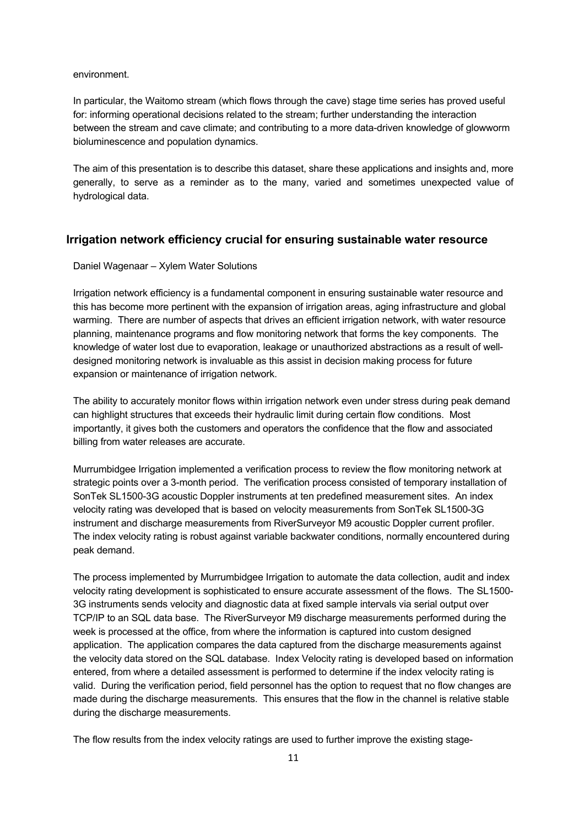environment.

In particular, the Waitomo stream (which flows through the cave) stage time series has proved useful for: informing operational decisions related to the stream; further understanding the interaction between the stream and cave climate; and contributing to a more data-driven knowledge of glowworm bioluminescence and population dynamics.

The aim of this presentation is to describe this dataset, share these applications and insights and, more generally, to serve as a reminder as to the many, varied and sometimes unexpected value of hydrological data.

#### **Irrigation network efficiency crucial for ensuring sustainable water resource**

Daniel Wagenaar – Xylem Water Solutions

Irrigation network efficiency is a fundamental component in ensuring sustainable water resource and this has become more pertinent with the expansion of irrigation areas, aging infrastructure and global warming. There are number of aspects that drives an efficient irrigation network, with water resource planning, maintenance programs and flow monitoring network that forms the key components. The knowledge of water lost due to evaporation, leakage or unauthorized abstractions as a result of welldesigned monitoring network is invaluable as this assist in decision making process for future expansion or maintenance of irrigation network.

The ability to accurately monitor flows within irrigation network even under stress during peak demand can highlight structures that exceeds their hydraulic limit during certain flow conditions. Most importantly, it gives both the customers and operators the confidence that the flow and associated billing from water releases are accurate.

Murrumbidgee Irrigation implemented a verification process to review the flow monitoring network at strategic points over a 3-month period. The verification process consisted of temporary installation of SonTek SL1500-3G acoustic Doppler instruments at ten predefined measurement sites. An index velocity rating was developed that is based on velocity measurements from SonTek SL1500-3G instrument and discharge measurements from RiverSurveyor M9 acoustic Doppler current profiler. The index velocity rating is robust against variable backwater conditions, normally encountered during peak demand.

The process implemented by Murrumbidgee Irrigation to automate the data collection, audit and index velocity rating development is sophisticated to ensure accurate assessment of the flows. The SL1500- 3G instruments sends velocity and diagnostic data at fixed sample intervals via serial output over TCP/IP to an SQL data base. The RiverSurveyor M9 discharge measurements performed during the week is processed at the office, from where the information is captured into custom designed application. The application compares the data captured from the discharge measurements against the velocity data stored on the SQL database. Index Velocity rating is developed based on information entered, from where a detailed assessment is performed to determine if the index velocity rating is valid. During the verification period, field personnel has the option to request that no flow changes are made during the discharge measurements. This ensures that the flow in the channel is relative stable during the discharge measurements.

The flow results from the index velocity ratings are used to further improve the existing stage-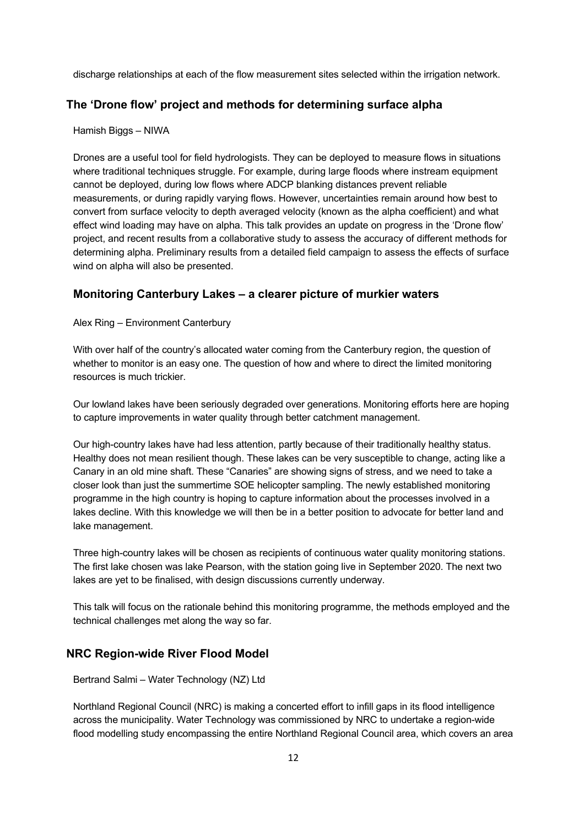discharge relationships at each of the flow measurement sites selected within the irrigation network.

#### **The 'Drone flow' project and methods for determining surface alpha**

Hamish Biggs – NIWA

Drones are a useful tool for field hydrologists. They can be deployed to measure flows in situations where traditional techniques struggle. For example, during large floods where instream equipment cannot be deployed, during low flows where ADCP blanking distances prevent reliable measurements, or during rapidly varying flows. However, uncertainties remain around how best to convert from surface velocity to depth averaged velocity (known as the alpha coefficient) and what effect wind loading may have on alpha. This talk provides an update on progress in the 'Drone flow' project, and recent results from a collaborative study to assess the accuracy of different methods for determining alpha. Preliminary results from a detailed field campaign to assess the effects of surface wind on alpha will also be presented.

#### **Monitoring Canterbury Lakes – a clearer picture of murkier waters**

Alex Ring – Environment Canterbury

With over half of the country's allocated water coming from the Canterbury region, the question of whether to monitor is an easy one. The question of how and where to direct the limited monitoring resources is much trickier.

Our lowland lakes have been seriously degraded over generations. Monitoring efforts here are hoping to capture improvements in water quality through better catchment management.

Our high-country lakes have had less attention, partly because of their traditionally healthy status. Healthy does not mean resilient though. These lakes can be very susceptible to change, acting like a Canary in an old mine shaft. These "Canaries" are showing signs of stress, and we need to take a closer look than just the summertime SOE helicopter sampling. The newly established monitoring programme in the high country is hoping to capture information about the processes involved in a lakes decline. With this knowledge we will then be in a better position to advocate for better land and lake management.

Three high-country lakes will be chosen as recipients of continuous water quality monitoring stations. The first lake chosen was lake Pearson, with the station going live in September 2020. The next two lakes are yet to be finalised, with design discussions currently underway.

This talk will focus on the rationale behind this monitoring programme, the methods employed and the technical challenges met along the way so far.

#### **NRC Region-wide River Flood Model**

Bertrand Salmi – Water Technology (NZ) Ltd

Northland Regional Council (NRC) is making a concerted effort to infill gaps in its flood intelligence across the municipality. Water Technology was commissioned by NRC to undertake a region-wide flood modelling study encompassing the entire Northland Regional Council area, which covers an area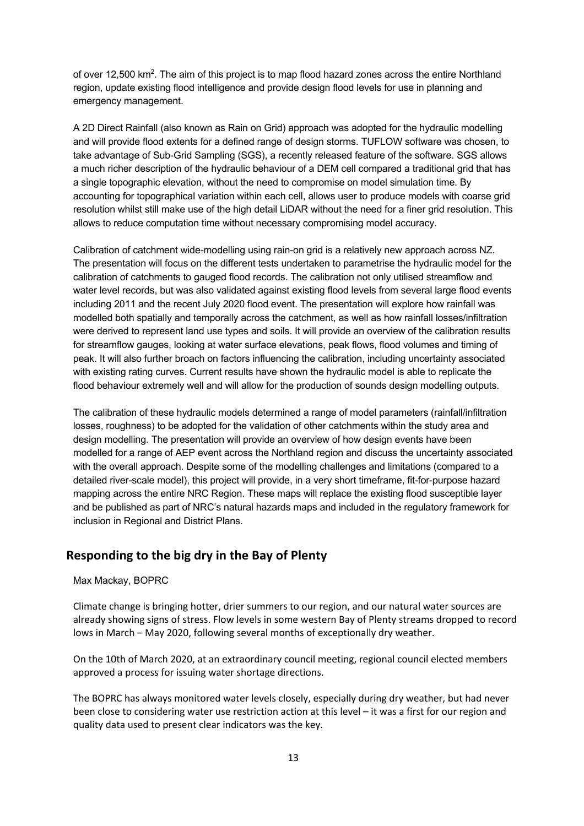of over 12,500 km<sup>2</sup>. The aim of this project is to map flood hazard zones across the entire Northland region, update existing flood intelligence and provide design flood levels for use in planning and emergency management.

A 2D Direct Rainfall (also known as Rain on Grid) approach was adopted for the hydraulic modelling and will provide flood extents for a defined range of design storms. TUFLOW software was chosen, to take advantage of Sub-Grid Sampling (SGS), a recently released feature of the software. SGS allows a much richer description of the hydraulic behaviour of a DEM cell compared a traditional grid that has a single topographic elevation, without the need to compromise on model simulation time. By accounting for topographical variation within each cell, allows user to produce models with coarse grid resolution whilst still make use of the high detail LiDAR without the need for a finer grid resolution. This allows to reduce computation time without necessary compromising model accuracy.

Calibration of catchment wide-modelling using rain-on grid is a relatively new approach across NZ. The presentation will focus on the different tests undertaken to parametrise the hydraulic model for the calibration of catchments to gauged flood records. The calibration not only utilised streamflow and water level records, but was also validated against existing flood levels from several large flood events including 2011 and the recent July 2020 flood event. The presentation will explore how rainfall was modelled both spatially and temporally across the catchment, as well as how rainfall losses/infiltration were derived to represent land use types and soils. It will provide an overview of the calibration results for streamflow gauges, looking at water surface elevations, peak flows, flood volumes and timing of peak. It will also further broach on factors influencing the calibration, including uncertainty associated with existing rating curves. Current results have shown the hydraulic model is able to replicate the flood behaviour extremely well and will allow for the production of sounds design modelling outputs.

The calibration of these hydraulic models determined a range of model parameters (rainfall/infiltration losses, roughness) to be adopted for the validation of other catchments within the study area and design modelling. The presentation will provide an overview of how design events have been modelled for a range of AEP event across the Northland region and discuss the uncertainty associated with the overall approach. Despite some of the modelling challenges and limitations (compared to a detailed river-scale model), this project will provide, in a very short timeframe, fit-for-purpose hazard mapping across the entire NRC Region. These maps will replace the existing flood susceptible layer and be published as part of NRC's natural hazards maps and included in the regulatory framework for inclusion in Regional and District Plans.

## **Responding to the big dry in the Bay of Plenty**

#### Max Mackay, BOPRC

Climate change is bringing hotter, drier summers to our region, and our natural water sources are already showing signs of stress. Flow levels in some western Bay of Plenty streams dropped to record lows in March – May 2020, following several months of exceptionally dry weather.

On the 10th of March 2020, at an extraordinary council meeting, regional council elected members approved a process for issuing water shortage directions.

The BOPRC has always monitored water levels closely, especially during dry weather, but had never been close to considering water use restriction action at this level – it was a first for our region and quality data used to present clear indicators was the key.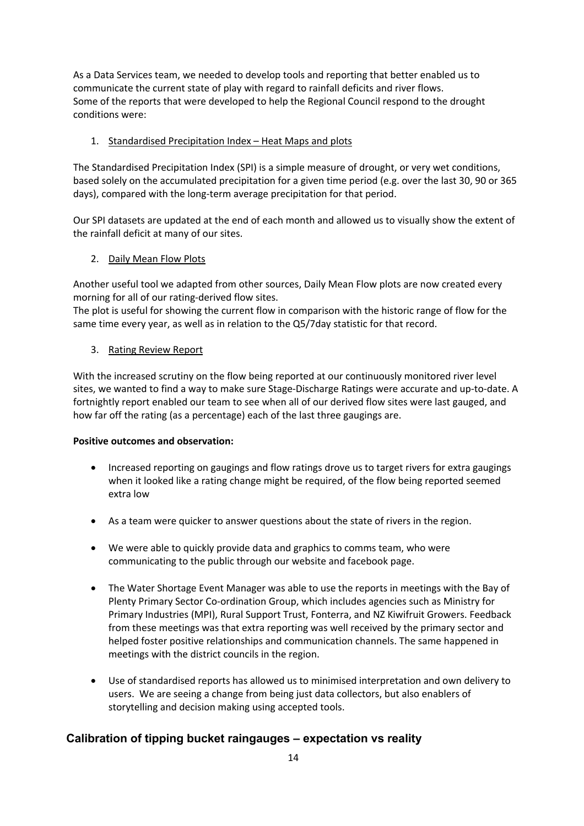As a Data Services team, we needed to develop tools and reporting that better enabled us to communicate the current state of play with regard to rainfall deficits and river flows. Some of the reports that were developed to help the Regional Council respond to the drought conditions were:

#### 1. Standardised Precipitation Index – Heat Maps and plots

The Standardised Precipitation Index (SPI) is a simple measure of drought, or very wet conditions, based solely on the accumulated precipitation for a given time period (e.g. over the last 30, 90 or 365 days), compared with the long-term average precipitation for that period.

Our SPI datasets are updated at the end of each month and allowed us to visually show the extent of the rainfall deficit at many of our sites.

#### 2. Daily Mean Flow Plots

Another useful tool we adapted from other sources, Daily Mean Flow plots are now created every morning for all of our rating-derived flow sites.

The plot is useful for showing the current flow in comparison with the historic range of flow for the same time every year, as well as in relation to the Q5/7day statistic for that record.

#### 3. Rating Review Report

With the increased scrutiny on the flow being reported at our continuously monitored river level sites, we wanted to find a way to make sure Stage-Discharge Ratings were accurate and up-to-date. A fortnightly report enabled our team to see when all of our derived flow sites were last gauged, and how far off the rating (as a percentage) each of the last three gaugings are.

#### **Positive outcomes and observation:**

- Increased reporting on gaugings and flow ratings drove us to target rivers for extra gaugings when it looked like a rating change might be required, of the flow being reported seemed extra low
- As a team were quicker to answer questions about the state of rivers in the region.
- We were able to quickly provide data and graphics to comms team, who were communicating to the public through our website and facebook page.
- The Water Shortage Event Manager was able to use the reports in meetings with the Bay of Plenty Primary Sector Co-ordination Group, which includes agencies such as Ministry for Primary Industries (MPI), Rural Support Trust, Fonterra, and NZ Kiwifruit Growers. Feedback from these meetings was that extra reporting was well received by the primary sector and helped foster positive relationships and communication channels. The same happened in meetings with the district councils in the region.
- Use of standardised reports has allowed us to minimised interpretation and own delivery to users. We are seeing a change from being just data collectors, but also enablers of storytelling and decision making using accepted tools.

## **Calibration of tipping bucket raingauges – expectation vs reality**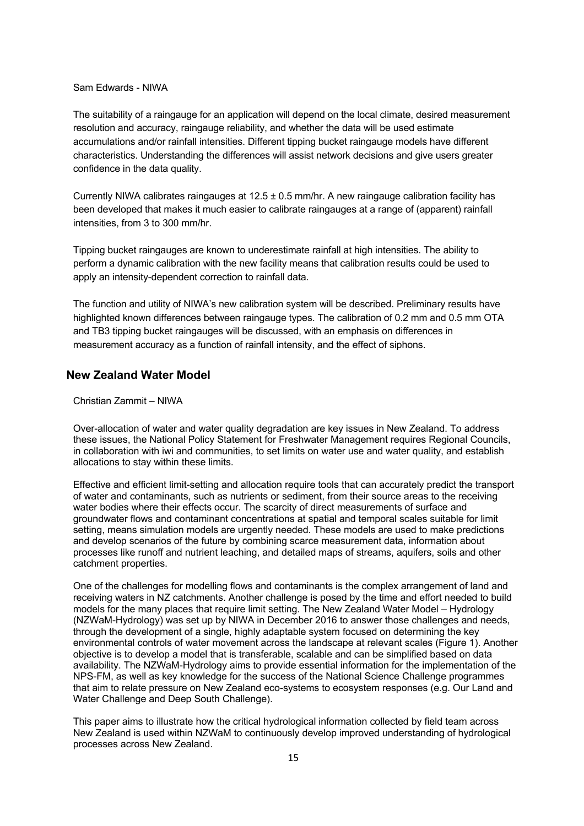#### Sam Edwards - NIWA

The suitability of a raingauge for an application will depend on the local climate, desired measurement resolution and accuracy, raingauge reliability, and whether the data will be used estimate accumulations and/or rainfall intensities. Different tipping bucket raingauge models have different characteristics. Understanding the differences will assist network decisions and give users greater confidence in the data quality.

Currently NIWA calibrates raingauges at 12.5 ± 0.5 mm/hr. A new raingauge calibration facility has been developed that makes it much easier to calibrate raingauges at a range of (apparent) rainfall intensities, from 3 to 300 mm/hr.

Tipping bucket raingauges are known to underestimate rainfall at high intensities. The ability to perform a dynamic calibration with the new facility means that calibration results could be used to apply an intensity-dependent correction to rainfall data.

The function and utility of NIWA's new calibration system will be described. Preliminary results have highlighted known differences between raingauge types. The calibration of 0.2 mm and 0.5 mm OTA and TB3 tipping bucket raingauges will be discussed, with an emphasis on differences in measurement accuracy as a function of rainfall intensity, and the effect of siphons.

#### **New Zealand Water Model**

Christian Zammit – NIWA

Over-allocation of water and water quality degradation are key issues in New Zealand. To address these issues, the National Policy Statement for Freshwater Management requires Regional Councils, in collaboration with iwi and communities, to set limits on water use and water quality, and establish allocations to stay within these limits.

Effective and efficient limit-setting and allocation require tools that can accurately predict the transport of water and contaminants, such as nutrients or sediment, from their source areas to the receiving water bodies where their effects occur. The scarcity of direct measurements of surface and groundwater flows and contaminant concentrations at spatial and temporal scales suitable for limit setting, means simulation models are urgently needed. These models are used to make predictions and develop scenarios of the future by combining scarce measurement data, information about processes like runoff and nutrient leaching, and detailed maps of streams, aquifers, soils and other catchment properties.

One of the challenges for modelling flows and contaminants is the complex arrangement of land and receiving waters in NZ catchments. Another challenge is posed by the time and effort needed to build models for the many places that require limit setting. The New Zealand Water Model – Hydrology (NZWaM-Hydrology) was set up by NIWA in December 2016 to answer those challenges and needs, through the development of a single, highly adaptable system focused on determining the key environmental controls of water movement across the landscape at relevant scales (Figure 1). Another objective is to develop a model that is transferable, scalable and can be simplified based on data availability. The NZWaM-Hydrology aims to provide essential information for the implementation of the NPS-FM, as well as key knowledge for the success of the National Science Challenge programmes that aim to relate pressure on New Zealand eco-systems to ecosystem responses (e.g. Our Land and Water Challenge and Deep South Challenge).

This paper aims to illustrate how the critical hydrological information collected by field team across New Zealand is used within NZWaM to continuously develop improved understanding of hydrological processes across New Zealand.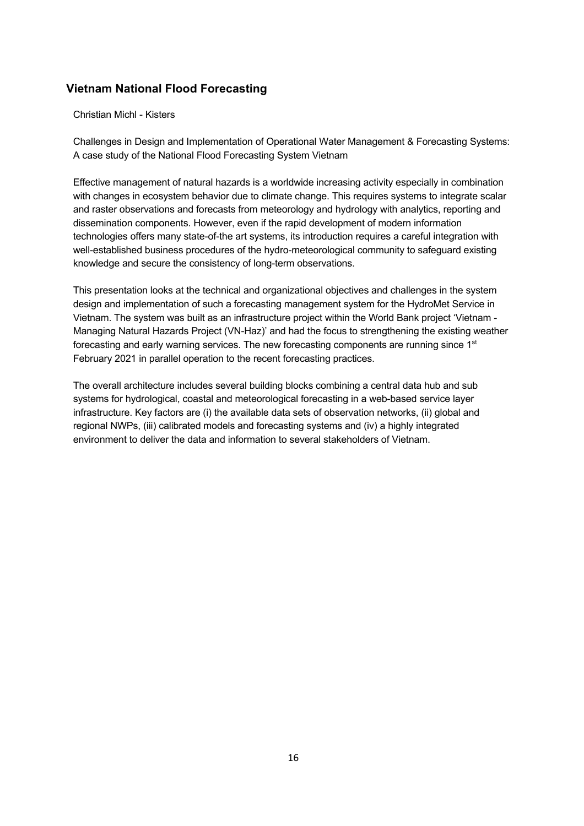## **Vietnam National Flood Forecasting**

#### Christian Michl - Kisters

Challenges in Design and Implementation of Operational Water Management & Forecasting Systems: A case study of the National Flood Forecasting System Vietnam

Effective management of natural hazards is a worldwide increasing activity especially in combination with changes in ecosystem behavior due to climate change. This requires systems to integrate scalar and raster observations and forecasts from meteorology and hydrology with analytics, reporting and dissemination components. However, even if the rapid development of modern information technologies offers many state-of-the art systems, its introduction requires a careful integration with well-established business procedures of the hydro-meteorological community to safeguard existing knowledge and secure the consistency of long-term observations.

This presentation looks at the technical and organizational objectives and challenges in the system design and implementation of such a forecasting management system for the HydroMet Service in Vietnam. The system was built as an infrastructure project within the World Bank project 'Vietnam - Managing Natural Hazards Project (VN-Haz)' and had the focus to strengthening the existing weather forecasting and early warning services. The new forecasting components are running since 1<sup>st</sup> February 2021 in parallel operation to the recent forecasting practices.

The overall architecture includes several building blocks combining a central data hub and sub systems for hydrological, coastal and meteorological forecasting in a web-based service layer infrastructure. Key factors are (i) the available data sets of observation networks, (ii) global and regional NWPs, (iii) calibrated models and forecasting systems and (iv) a highly integrated environment to deliver the data and information to several stakeholders of Vietnam.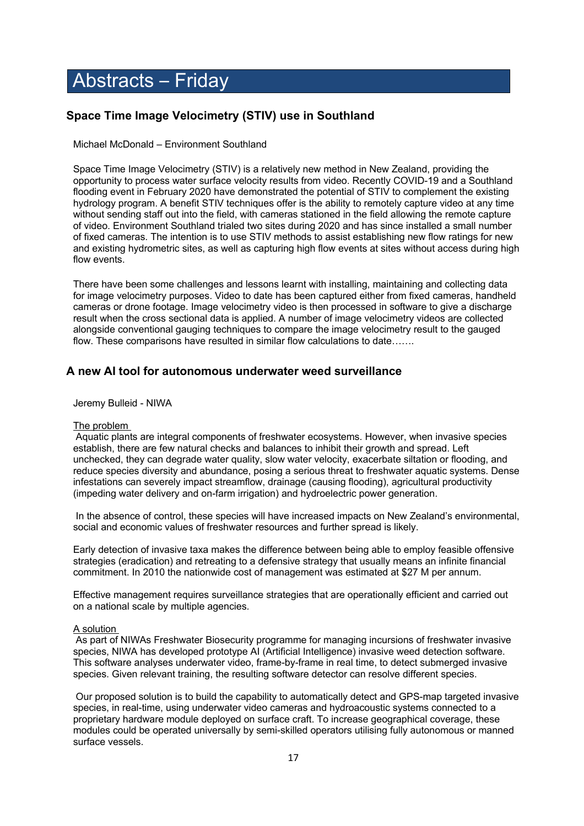## Abstracts – Friday

## **Space Time Image Velocimetry (STIV) use in Southland**

Michael McDonald – Environment Southland

Space Time Image Velocimetry (STIV) is a relatively new method in New Zealand, providing the opportunity to process water surface velocity results from video. Recently COVID-19 and a Southland flooding event in February 2020 have demonstrated the potential of STIV to complement the existing hydrology program. A benefit STIV techniques offer is the ability to remotely capture video at any time without sending staff out into the field, with cameras stationed in the field allowing the remote capture of video. Environment Southland trialed two sites during 2020 and has since installed a small number of fixed cameras. The intention is to use STIV methods to assist establishing new flow ratings for new and existing hydrometric sites, as well as capturing high flow events at sites without access during high flow events.

There have been some challenges and lessons learnt with installing, maintaining and collecting data for image velocimetry purposes. Video to date has been captured either from fixed cameras, handheld cameras or drone footage. Image velocimetry video is then processed in software to give a discharge result when the cross sectional data is applied. A number of image velocimetry videos are collected alongside conventional gauging techniques to compare the image velocimetry result to the gauged flow. These comparisons have resulted in similar flow calculations to date…….

#### **A new AI tool for autonomous underwater weed surveillance**

Jeremy Bulleid - NIWA

#### The problem

Aquatic plants are integral components of freshwater ecosystems. However, when invasive species establish, there are few natural checks and balances to inhibit their growth and spread. Left unchecked, they can degrade water quality, slow water velocity, exacerbate siltation or flooding, and reduce species diversity and abundance, posing a serious threat to freshwater aquatic systems. Dense infestations can severely impact streamflow, drainage (causing flooding), agricultural productivity (impeding water delivery and on-farm irrigation) and hydroelectric power generation.

In the absence of control, these species will have increased impacts on New Zealand's environmental, social and economic values of freshwater resources and further spread is likely.

Early detection of invasive taxa makes the difference between being able to employ feasible offensive strategies (eradication) and retreating to a defensive strategy that usually means an infinite financial commitment. In 2010 the nationwide cost of management was estimated at \$27 M per annum.

Effective management requires surveillance strategies that are operationally efficient and carried out on a national scale by multiple agencies.

#### A solution

As part of NIWAs Freshwater Biosecurity programme for managing incursions of freshwater invasive species, NIWA has developed prototype AI (Artificial Intelligence) invasive weed detection software. This software analyses underwater video, frame-by-frame in real time, to detect submerged invasive species. Given relevant training, the resulting software detector can resolve different species.

Our proposed solution is to build the capability to automatically detect and GPS-map targeted invasive species, in real-time, using underwater video cameras and hydroacoustic systems connected to a proprietary hardware module deployed on surface craft. To increase geographical coverage, these modules could be operated universally by semi-skilled operators utilising fully autonomous or manned surface vessels.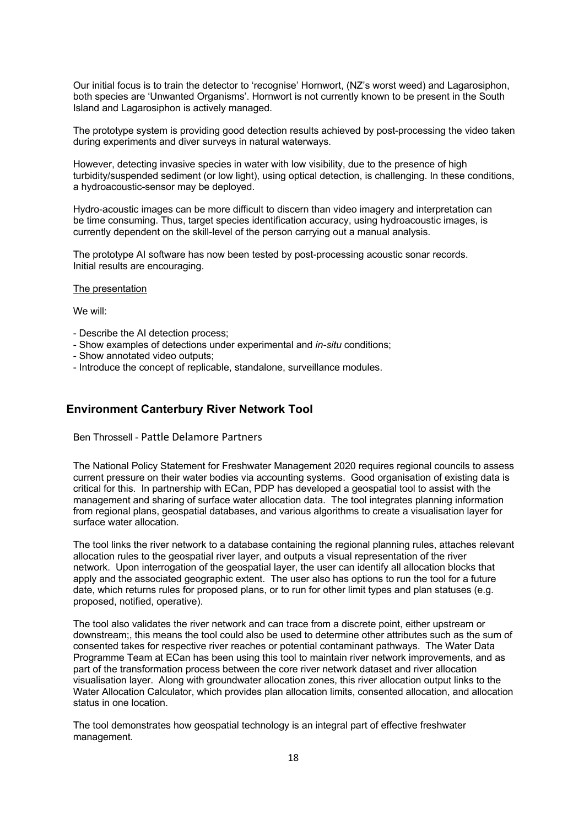Our initial focus is to train the detector to 'recognise' Hornwort, (NZ's worst weed) and Lagarosiphon, both species are 'Unwanted Organisms'. Hornwort is not currently known to be present in the South Island and Lagarosiphon is actively managed.

The prototype system is providing good detection results achieved by post-processing the video taken during experiments and diver surveys in natural waterways.

However, detecting invasive species in water with low visibility, due to the presence of high turbidity/suspended sediment (or low light), using optical detection, is challenging. In these conditions, a hydroacoustic-sensor may be deployed.

Hydro-acoustic images can be more difficult to discern than video imagery and interpretation can be time consuming. Thus, target species identification accuracy, using hydroacoustic images, is currently dependent on the skill-level of the person carrying out a manual analysis.

The prototype AI software has now been tested by post-processing acoustic sonar records. Initial results are encouraging.

#### The presentation

We will:

- Describe the AI detection process;
- Show examples of detections under experimental and *in-situ* conditions;
- Show annotated video outputs;
- Introduce the concept of replicable, standalone, surveillance modules.

#### **Environment Canterbury River Network Tool**

Ben Throssell - Pattle Delamore Partners

The National Policy Statement for Freshwater Management 2020 requires regional councils to assess current pressure on their water bodies via accounting systems. Good organisation of existing data is critical for this. In partnership with ECan, PDP has developed a geospatial tool to assist with the management and sharing of surface water allocation data. The tool integrates planning information from regional plans, geospatial databases, and various algorithms to create a visualisation layer for surface water allocation.

The tool links the river network to a database containing the regional planning rules, attaches relevant allocation rules to the geospatial river layer, and outputs a visual representation of the river network. Upon interrogation of the geospatial layer, the user can identify all allocation blocks that apply and the associated geographic extent. The user also has options to run the tool for a future date, which returns rules for proposed plans, or to run for other limit types and plan statuses (e.g. proposed, notified, operative).

The tool also validates the river network and can trace from a discrete point, either upstream or downstream;, this means the tool could also be used to determine other attributes such as the sum of consented takes for respective river reaches or potential contaminant pathways. The Water Data Programme Team at ECan has been using this tool to maintain river network improvements, and as part of the transformation process between the core river network dataset and river allocation visualisation layer. Along with groundwater allocation zones, this river allocation output links to the Water Allocation Calculator, which provides plan allocation limits, consented allocation, and allocation status in one location.

The tool demonstrates how geospatial technology is an integral part of effective freshwater management.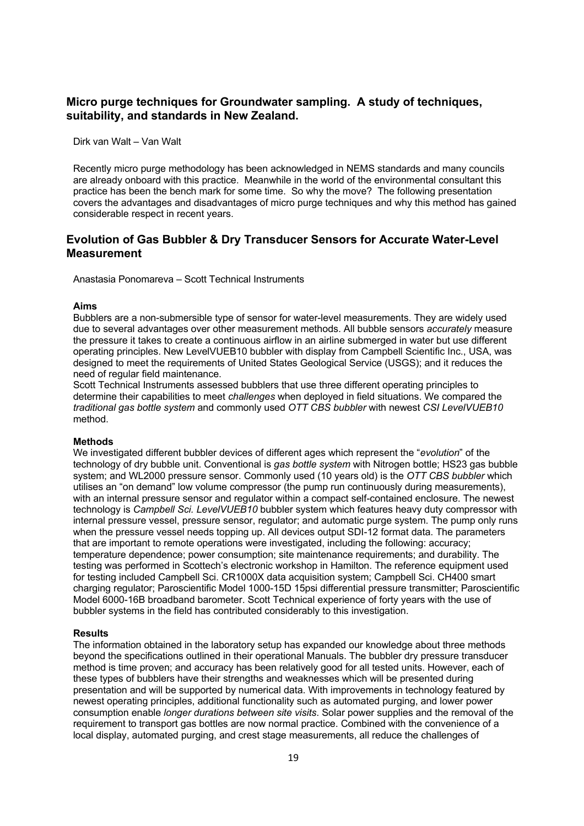#### **Micro purge techniques for Groundwater sampling. A study of techniques, suitability, and standards in New Zealand.**

Dirk van Walt – Van Walt

Recently micro purge methodology has been acknowledged in NEMS standards and many councils are already onboard with this practice. Meanwhile in the world of the environmental consultant this practice has been the bench mark for some time. So why the move? The following presentation covers the advantages and disadvantages of micro purge techniques and why this method has gained considerable respect in recent years.

#### **Evolution of Gas Bubbler & Dry Transducer Sensors for Accurate Water-Level Measurement**

Anastasia Ponomareva – Scott Technical Instruments

#### **Aims**

Bubblers are a non-submersible type of sensor for water-level measurements. They are widely used due to several advantages over other measurement methods. All bubble sensors *accurately* measure the pressure it takes to create a continuous airflow in an airline submerged in water but use different operating principles. New LevelVUEB10 bubbler with display from Campbell Scientific Inc., USA, was designed to meet the requirements of United States Geological Service (USGS); and it reduces the need of regular field maintenance.

Scott Technical Instruments assessed bubblers that use three different operating principles to determine their capabilities to meet *challenges* when deployed in field situations. We compared the *traditional gas bottle system* and commonly used *OTT CBS bubbler* with newest *CSI LevelVUEB10*  method.

#### **Methods**

We investigated different bubbler devices of different ages which represent the "*evolution*" of the technology of dry bubble unit. Conventional is *gas bottle system* with Nitrogen bottle; HS23 gas bubble system; and WL2000 pressure sensor. Commonly used (10 years old) is the *OTT CBS bubbler* which utilises an "on demand" low volume compressor (the pump run continuously during measurements), with an internal pressure sensor and regulator within a compact self-contained enclosure. The newest technology is *Campbell Sci. LevelVUEB10* bubbler system which features heavy duty compressor with internal pressure vessel, pressure sensor, regulator; and automatic purge system. The pump only runs when the pressure vessel needs topping up. All devices output SDI-12 format data. The parameters that are important to remote operations were investigated, including the following: accuracy; temperature dependence; power consumption; site maintenance requirements; and durability. The testing was performed in Scottech's electronic workshop in Hamilton. The reference equipment used for testing included Campbell Sci. CR1000X data acquisition system; Campbell Sci. CH400 smart charging regulator; Paroscientific Model 1000-15D 15psi differential pressure transmitter; Paroscientific Model 6000-16B broadband barometer. Scott Technical experience of forty years with the use of bubbler systems in the field has contributed considerably to this investigation.

#### **Results**

The information obtained in the laboratory setup has expanded our knowledge about three methods beyond the specifications outlined in their operational Manuals. The bubbler dry pressure transducer method is time proven; and accuracy has been relatively good for all tested units. However, each of these types of bubblers have their strengths and weaknesses which will be presented during presentation and will be supported by numerical data. With improvements in technology featured by newest operating principles, additional functionality such as automated purging, and lower power consumption enable *longer durations between site visits*. Solar power supplies and the removal of the requirement to transport gas bottles are now normal practice. Combined with the convenience of a local display, automated purging, and crest stage measurements, all reduce the challenges of